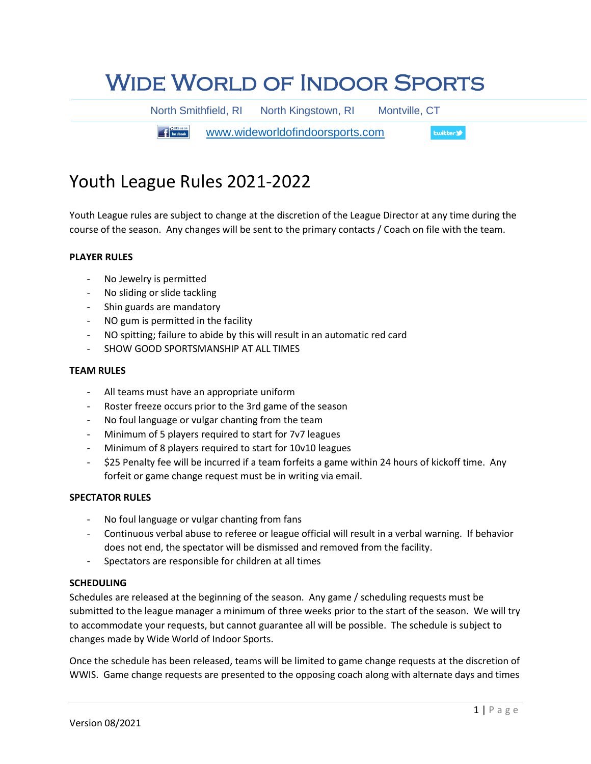# Wide World of Indoor Sports

North Smithfield, RI North Kingstown, RI Montville, CT

**The Figure 11 Facebook.** [www.wideworldofindoorsports.com](http://www.wideworldofindoorsports.com/) **Ewitter** 

# Youth League Rules 2021-2022

Youth League rules are subject to change at the discretion of the League Director at any time during the course of the season. Any changes will be sent to the primary contacts / Coach on file with the team.

# **PLAYER RULES**

- No Jewelry is permitted
- No sliding or slide tackling
- Shin guards are mandatory
- NO gum is permitted in the facility
- NO spitting; failure to abide by this will result in an automatic red card
- SHOW GOOD SPORTSMANSHIP AT ALL TIMES

#### **TEAM RULES**

- All teams must have an appropriate uniform
- Roster freeze occurs prior to the 3rd game of the season
- No foul language or vulgar chanting from the team
- Minimum of 5 players required to start for 7v7 leagues
- Minimum of 8 players required to start for 10v10 leagues
- \$25 Penalty fee will be incurred if a team forfeits a game within 24 hours of kickoff time. Any forfeit or game change request must be in writing via email.

### **SPECTATOR RULES**

- No foul language or vulgar chanting from fans
- Continuous verbal abuse to referee or league official will result in a verbal warning. If behavior does not end, the spectator will be dismissed and removed from the facility.
- Spectators are responsible for children at all times

#### **SCHEDULING**

Schedules are released at the beginning of the season. Any game / scheduling requests must be submitted to the league manager a minimum of three weeks prior to the start of the season. We will try to accommodate your requests, but cannot guarantee all will be possible. The schedule is subject to changes made by Wide World of Indoor Sports.

Once the schedule has been released, teams will be limited to game change requests at the discretion of WWIS. Game change requests are presented to the opposing coach along with alternate days and times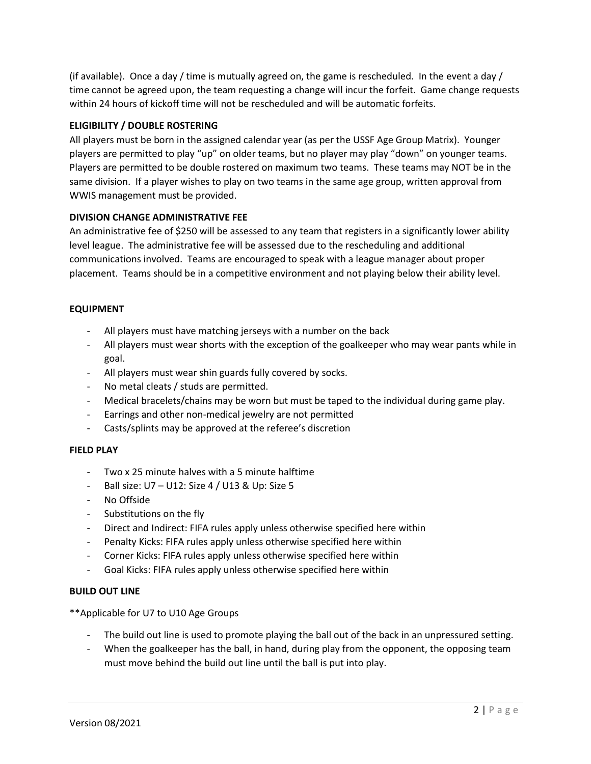(if available). Once a day / time is mutually agreed on, the game is rescheduled. In the event a day / time cannot be agreed upon, the team requesting a change will incur the forfeit. Game change requests within 24 hours of kickoff time will not be rescheduled and will be automatic forfeits.

## **ELIGIBILITY / DOUBLE ROSTERING**

All players must be born in the assigned calendar year (as per the USSF Age Group Matrix). Younger players are permitted to play "up" on older teams, but no player may play "down" on younger teams. Players are permitted to be double rostered on maximum two teams. These teams may NOT be in the same division. If a player wishes to play on two teams in the same age group, written approval from WWIS management must be provided.

### **DIVISION CHANGE ADMINISTRATIVE FEE**

An administrative fee of \$250 will be assessed to any team that registers in a significantly lower ability level league. The administrative fee will be assessed due to the rescheduling and additional communications involved. Teams are encouraged to speak with a league manager about proper placement. Teams should be in a competitive environment and not playing below their ability level.

# **EQUIPMENT**

- All players must have matching jerseys with a number on the back
- All players must wear shorts with the exception of the goalkeeper who may wear pants while in goal.
- All players must wear shin guards fully covered by socks.
- No metal cleats / studs are permitted.
- Medical bracelets/chains may be worn but must be taped to the individual during game play.
- Earrings and other non-medical jewelry are not permitted
- Casts/splints may be approved at the referee's discretion

### **FIELD PLAY**

- Two x 25 minute halves with a 5 minute halftime
- Ball size: U7 U12: Size 4 / U13 & Up: Size 5
- No Offside
- Substitutions on the fly
- Direct and Indirect: FIFA rules apply unless otherwise specified here within
- Penalty Kicks: FIFA rules apply unless otherwise specified here within
- Corner Kicks: FIFA rules apply unless otherwise specified here within
- Goal Kicks: FIFA rules apply unless otherwise specified here within

### **BUILD OUT LINE**

\*\*Applicable for U7 to U10 Age Groups

- The build out line is used to promote playing the ball out of the back in an unpressured setting.
- When the goalkeeper has the ball, in hand, during play from the opponent, the opposing team must move behind the build out line until the ball is put into play.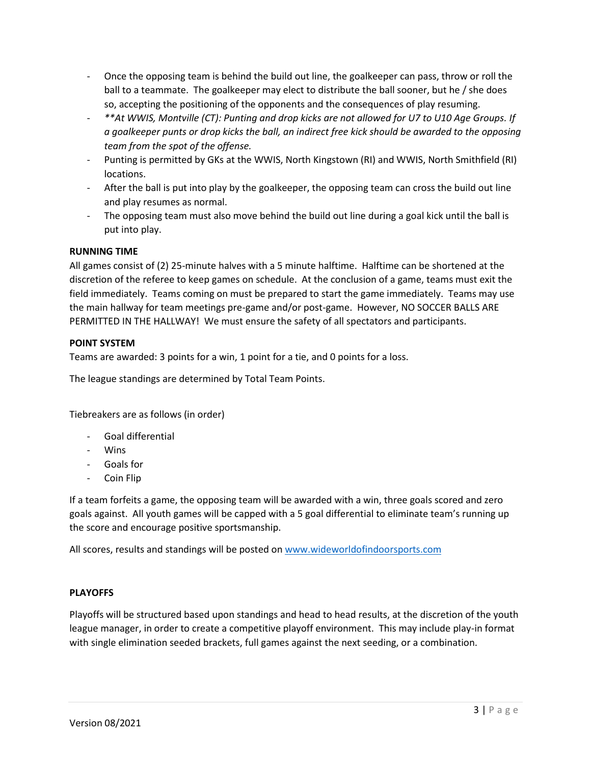- Once the opposing team is behind the build out line, the goalkeeper can pass, throw or roll the ball to a teammate. The goalkeeper may elect to distribute the ball sooner, but he / she does so, accepting the positioning of the opponents and the consequences of play resuming.
- *\*\*At WWIS, Montville (CT): Punting and drop kicks are not allowed for U7 to U10 Age Groups. If a goalkeeper punts or drop kicks the ball, an indirect free kick should be awarded to the opposing team from the spot of the offense.*
- Punting is permitted by GKs at the WWIS, North Kingstown (RI) and WWIS, North Smithfield (RI) locations.
- After the ball is put into play by the goalkeeper, the opposing team can cross the build out line and play resumes as normal.
- The opposing team must also move behind the build out line during a goal kick until the ball is put into play.

# **RUNNING TIME**

All games consist of (2) 25-minute halves with a 5 minute halftime. Halftime can be shortened at the discretion of the referee to keep games on schedule. At the conclusion of a game, teams must exit the field immediately. Teams coming on must be prepared to start the game immediately. Teams may use the main hallway for team meetings pre-game and/or post-game. However, NO SOCCER BALLS ARE PERMITTED IN THE HALLWAY! We must ensure the safety of all spectators and participants.

# **POINT SYSTEM**

Teams are awarded: 3 points for a win, 1 point for a tie, and 0 points for a loss.

The league standings are determined by Total Team Points.

Tiebreakers are as follows (in order)

- Goal differential
- Wins
- Goals for
- Coin Flip

If a team forfeits a game, the opposing team will be awarded with a win, three goals scored and zero goals against. All youth games will be capped with a 5 goal differential to eliminate team's running up the score and encourage positive sportsmanship.

All scores, results and standings will be posted on [www.wideworldofindoorsports.com](http://www.wideworldofindoorsports.com/)

### **PLAYOFFS**

Playoffs will be structured based upon standings and head to head results, at the discretion of the youth league manager, in order to create a competitive playoff environment. This may include play-in format with single elimination seeded brackets, full games against the next seeding, or a combination.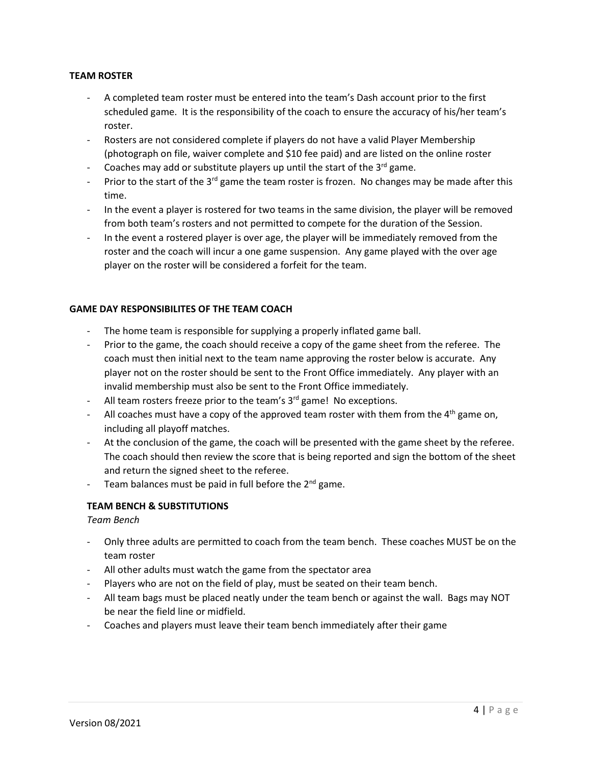## **TEAM ROSTER**

- A completed team roster must be entered into the team's Dash account prior to the first scheduled game. It is the responsibility of the coach to ensure the accuracy of his/her team's roster.
- Rosters are not considered complete if players do not have a valid Player Membership (photograph on file, waiver complete and \$10 fee paid) and are listed on the online roster
- Coaches may add or substitute players up until the start of the  $3^{rd}$  game.
- Prior to the start of the 3<sup>rd</sup> game the team roster is frozen. No changes may be made after this time.
- In the event a player is rostered for two teams in the same division, the player will be removed from both team's rosters and not permitted to compete for the duration of the Session.
- In the event a rostered player is over age, the player will be immediately removed from the roster and the coach will incur a one game suspension. Any game played with the over age player on the roster will be considered a forfeit for the team.

### **GAME DAY RESPONSIBILITES OF THE TEAM COACH**

- The home team is responsible for supplying a properly inflated game ball.
- Prior to the game, the coach should receive a copy of the game sheet from the referee. The coach must then initial next to the team name approving the roster below is accurate. Any player not on the roster should be sent to the Front Office immediately. Any player with an invalid membership must also be sent to the Front Office immediately.
- All team rosters freeze prior to the team's  $3<sup>rd</sup>$  game! No exceptions.
- All coaches must have a copy of the approved team roster with them from the  $4<sup>th</sup>$  game on, including all playoff matches.
- At the conclusion of the game, the coach will be presented with the game sheet by the referee. The coach should then review the score that is being reported and sign the bottom of the sheet and return the signed sheet to the referee.
- Team balances must be paid in full before the  $2^{nd}$  game.

# **TEAM BENCH & SUBSTITUTIONS**

### *Team Bench*

- Only three adults are permitted to coach from the team bench. These coaches MUST be on the team roster
- All other adults must watch the game from the spectator area
- Players who are not on the field of play, must be seated on their team bench.
- All team bags must be placed neatly under the team bench or against the wall. Bags may NOT be near the field line or midfield.
- Coaches and players must leave their team bench immediately after their game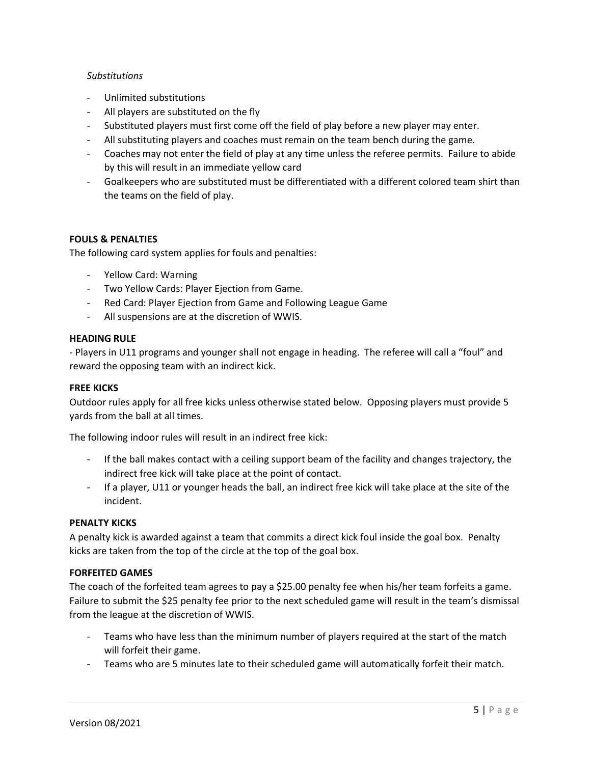### *Substitutions*

- Unlimited substitutions
- All players are substituted on the fly
- Substituted players must first come off the field of play before a new player may enter.
- All substituting players and coaches must remain on the team bench during the game.
- Coaches may not enter the field of play at any time unless the referee permits. Failure to abide by this will result in an immediate yellow card
- Goalkeepers who are substituted must be differentiated with a different colored team shirt than the teams on the field of play.

### **FOULS & PENALTIES**

The following card system applies for fouls and penalties:

- Yellow Card: Warning
- Two Yellow Cards: Player Ejection from Game.
- Red Card: Player Ejection from Game and Following League Game
- All suspensions are at the discretion of WWIS.

#### **HEADING RULE**

- Players in U11 programs and younger shall not engage in heading. The referee will call a "foul" and reward the opposing team with an indirect kick.

#### **FREE KICKS**

Outdoor rules apply for all free kicks unless otherwise stated below. Opposing players must provide 5 yards from the ball at all times.

The following indoor rules will result in an indirect free kick:

- If the ball makes contact with a ceiling support beam of the facility and changes trajectory, the indirect free kick will take place at the point of contact.
- If a player, U11 or younger heads the ball, an indirect free kick will take place at the site of the incident.

### **PENALTY KICKS**

A penalty kick is awarded against a team that commits a direct kick foul inside the goal box. Penalty kicks are taken from the top of the circle at the top of the goal box.

### **FORFEITED GAMES**

The coach of the forfeited team agrees to pay a \$25.00 penalty fee when his/her team forfeits a game. Failure to submit the \$25 penalty fee prior to the next scheduled game will result in the team's dismissal from the league at the discretion of WWIS.

- Teams who have less than the minimum number of players required at the start of the match will forfeit their game.
- Teams who are 5 minutes late to their scheduled game will automatically forfeit their match.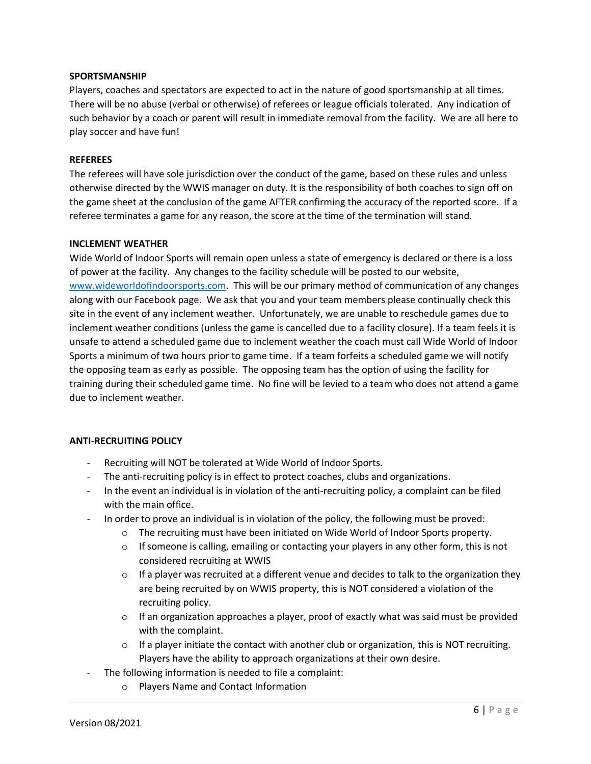#### **SPORTSMANSHIP**

Players, coaches and spectators are expected to act in the nature of good sportsmanship at all times. There will be no abuse (verbal or otherwise) of referees or league officials tolerated. Any indication of such behavior by a coach or parent will result in immediate removal from the facility. We are all here to play soccer and have fun!

#### **REFEREES**

The referees will have sole jurisdiction over the conduct of the game, based on these rules and unless otherwise directed by the WWIS manager on duty. It is the responsibility of both coaches to sign off on the game sheet at the conclusion of the game AFTER confirming the accuracy of the reported score. If a referee terminates a game for any reason, the score at the time of the termination will stand.

#### **INCLEMENT WEATHER**

Wide World of Indoor Sports will remain open unless a state of emergency is declared or there is a loss of power at the facility. Any changes to the facility schedule will be posted to our website, [www.wideworldofindoorsports.com.](http://www.wideworldofindoorsports.com/) This will be our primary method of communication of any changes along with our Facebook page. We ask that you and your team members please continually check this site in the event of any inclement weather. Unfortunately, we are unable to reschedule games due to inclement weather conditions (unless the game is cancelled due to a facility closure). If a team feels it is unsafe to attend a scheduled game due to inclement weather the coach must call Wide World of Indoor Sports a minimum of two hours prior to game time. If a team forfeits a scheduled game we will notify the opposing team as early as possible. The opposing team has the option of using the facility for training during their scheduled game time. No fine will be levied to a team who does not attend a game due to inclement weather.

#### **ANTI-RECRUITING POLICY**

- Recruiting will NOT be tolerated at Wide World of Indoor Sports.
- The anti-recruiting policy is in effect to protect coaches, clubs and organizations.
- In the event an individual is in violation of the anti-recruiting policy, a complaint can be filed with the main office.
- In order to prove an individual is in violation of the policy, the following must be proved:
	- $\circ$  The recruiting must have been initiated on Wide World of Indoor Sports property.
	- $\circ$  If someone is calling, emailing or contacting your players in any other form, this is not considered recruiting at WWIS
	- $\circ$  If a player was recruited at a different venue and decides to talk to the organization they are being recruited by on WWIS property, this is NOT considered a violation of the recruiting policy.
	- $\circ$  If an organization approaches a player, proof of exactly what was said must be provided with the complaint.
	- $\circ$  If a player initiate the contact with another club or organization, this is NOT recruiting. Players have the ability to approach organizations at their own desire.
- The following information is needed to file a complaint:
	- o Players Name and Contact Information